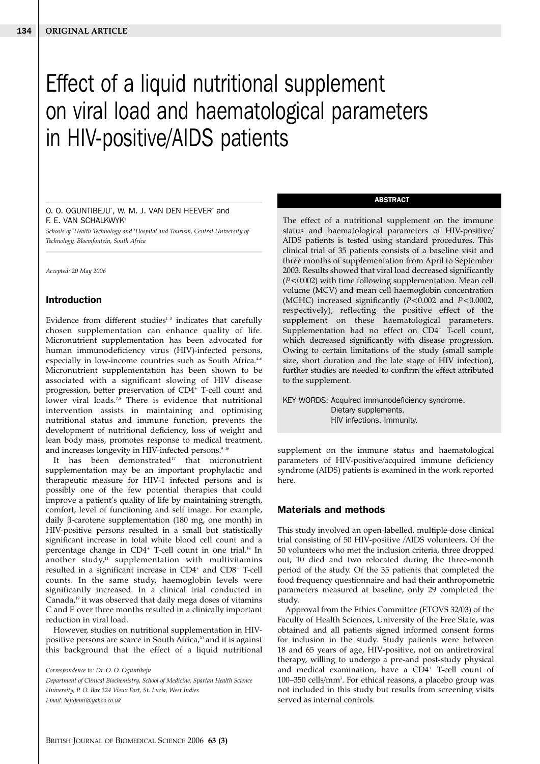# Effect of a liquid nutritional supplement on viral load and haematological parameters in HIV-positive/AIDS patients

#### O. O. OGUNTIBEJU\* , W. M. J. VAN DEN HEEVER\* and F. E. VAN SCHALKWYK†

*Schools of \* Health Technology and † Hospital and Tourism, Central University of Technology, Bloemfontein, South Africa*

*Accepted: 20 May 2006*

## **Introduction**

Evidence from different studies $1-3$  indicates that carefully chosen supplementation can enhance quality of life. Micronutrient supplementation has been advocated for human immunodeficiency virus (HIV)-infected persons, especially in low-income countries such as South Africa. $4-6$ Micronutrient supplementation has been shown to be associated with a significant slowing of HIV disease progression, better preservation of  $CD4^+$  T-cell count and lower viral loads.<sup>7,8</sup> There is evidence that nutritional intervention assists in maintaining and optimising nutritional status and immune function, prevents the development of nutritional deficiency, loss of weight and lean body mass, promotes response to medical treatment, and increases longevity in HIV-infected persons.<sup>9-16</sup>

It has been demonstrated $17$  that micronutrient supplementation may be an important prophylactic and therapeutic measure for HIV-1 infected persons and is possibly one of the few potential therapies that could improve a patient's quality of life by maintaining strength, comfort, level of functioning and self image. For example, daily β-carotene supplementation (180 mg, one month) in HIV-positive persons resulted in a small but statistically significant increase in total white blood cell count and a percentage change in CD4<sup>+</sup> T-cell count in one trial.<sup>18</sup> In another study, $11$  supplementation with multivitamins resulted in a significant increase in CD4<sup>+</sup> and CD8<sup>+</sup> T-cell counts. In the same study, haemoglobin levels were significantly increased. In a clinical trial conducted in Canada,<sup>19</sup> it was observed that daily mega doses of vitamins C and E over three months resulted in a clinically important reduction in viral load.

However, studies on nutritional supplementation in HIVpositive persons are scarce in South Africa,<sup>20</sup> and it is against this background that the effect of a liquid nutritional

*Correspondence to: Dr. O. O. Oguntibeju Department of Clinical Biochemistry, School of Medicine, Spartan Health Science University, P. O. Box 324 Vieux Fort, St. Lucia, West Indies Email: bejufemi@yahoo.co.uk*

#### **ABSTRACT**

The effect of a nutritional supplement on the immune status and haematological parameters of HIV-positive/ AIDS patients is tested using standard procedures. This clinical trial of 35 patients consists of a baseline visit and three months of supplementation from April to September 2003. Results showed that viral load decreased significantly (*P*<0.002) with time following supplementation. Mean cell volume (MCV) and mean cell haemoglobin concentration (MCHC) increased significantly (*P*<0.002 and *P*<0.0002, respectively), reflecting the positive effect of the supplement on these haematological parameters. Supplementation had no effect on  $CD4^+$  T-cell count, which decreased significantly with disease progression. Owing to certain limitations of the study (small sample size, short duration and the late stage of HIV infection), further studies are needed to confirm the effect attributed to the supplement.

KEY WORDS: Acquired immunodeficiency syndrome. Dietary supplements. HIV infections. Immunity.

supplement on the immune status and haematological parameters of HIV-positive/acquired immune deficiency syndrome (AIDS) patients is examined in the work reported here.

## **Materials and methods**

This study involved an open-labelled, multiple-dose clinical trial consisting of 50 HIV-positive /AIDS volunteers. Of the 50 volunteers who met the inclusion criteria, three dropped out, 10 died and two relocated during the three-month period of the study. Of the 35 patients that completed the food frequency questionnaire and had their anthropometric parameters measured at baseline, only 29 completed the study.

Approval from the Ethics Committee (ETOVS 32/03) of the Faculty of Health Sciences, University of the Free State, was obtained and all patients signed informed consent forms for inclusion in the study. Study patients were between 18 and 65 years of age, HIV-positive, not on antiretroviral therapy, willing to undergo a pre-and post-study physical and medical examination, have a CD4+ T-cell count of 100–350 cells/mm<sup>3</sup>. For ethical reasons, a placebo group was not included in this study but results from screening visits served as internal controls.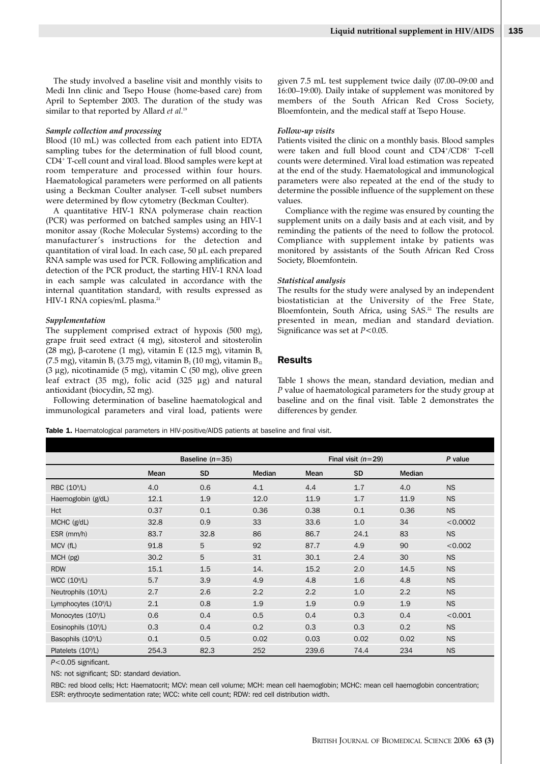The study involved a baseline visit and monthly visits to Medi Inn clinic and Tsepo House (home-based care) from April to September 2003. The duration of the study was similar to that reported by Allard *et al*. 19

#### *Sample collection and processing*

Blood (10 mL) was collected from each patient into EDTA sampling tubes for the determination of full blood count, CD4+ T-cell count and viral load. Blood samples were kept at room temperature and processed within four hours. Haematological parameters were performed on all patients using a Beckman Coulter analyser. T-cell subset numbers were determined by flow cytometry (Beckman Coulter).

A quantitative HIV-1 RNA polymerase chain reaction (PCR) was performed on batched samples using an HIV-1 monitor assay (Roche Molecular Systems) according to the manufacturer's instructions for the detection and quantitation of viral load. In each case, 50 µL each prepared RNA sample was used for PCR. Following amplification and detection of the PCR product, the starting HIV-1 RNA load in each sample was calculated in accordance with the internal quantitation standard, with results expressed as HIV-1 RNA copies/mL plasma.<sup>21</sup>

#### *Supplementation*

The supplement comprised extract of hypoxis (500 mg), grape fruit seed extract (4 mg), sitosterol and sitosterolin (28 mg), β-carotene (1 mg), vitamin E (12.5 mg), vitamin  $B_6$ (7.5 mg), vitamin  $B_1$  (3.75 mg), vitamin  $B_2$  (10 mg), vitamin  $B_{12}$ (3 µg), nicotinamide (5 mg), vitamin C (50 mg), olive green leaf extract (35 mg), folic acid (325 µg) and natural antioxidant (biocydin, 52 mg).

Following determination of baseline haematological and immunological parameters and viral load, patients were given 7.5 mL test supplement twice daily (07.00–09:00 and 16:00–19:00). Daily intake of supplement was monitored by members of the South African Red Cross Society, Bloemfontein, and the medical staff at Tsepo House.

# *Follow-up visits*

Patients visited the clinic on a monthly basis. Blood samples were taken and full blood count and CD4+/CD8+ T-cell counts were determined. Viral load estimation was repeated at the end of the study. Haematological and immunological parameters were also repeated at the end of the study to determine the possible influence of the supplement on these values.

Compliance with the regime was ensured by counting the supplement units on a daily basis and at each visit, and by reminding the patients of the need to follow the protocol. Compliance with supplement intake by patients was monitored by assistants of the South African Red Cross Society, Bloemfontein.

#### *Statistical analysis*

The results for the study were analysed by an independent biostatistician at the University of the Free State, Bloemfontein, South Africa, using SAS.<sup>22</sup> The results are presented in mean, median and standard deviation. Significance was set at *P*<0.05.

# **Results**

Table 1 shows the mean, standard deviation, median and *P* value of haematological parameters for the study group at baseline and on the final visit. Table 2 demonstrates the differences by gender.

Table 1. Haematological parameters in HIV-positive/AIDS patients at baseline and final visit.

|                                  | Baseline $(n=35)$ |           |               | Final visit $(n=29)$ |           |               | P value   |
|----------------------------------|-------------------|-----------|---------------|----------------------|-----------|---------------|-----------|
|                                  | Mean              | <b>SD</b> | <b>Median</b> | Mean                 | <b>SD</b> | <b>Median</b> |           |
| RBC (10 <sup>9</sup> /L)         | 4.0               | 0.6       | 4.1           | 4.4                  | 1.7       | 4.0           | <b>NS</b> |
| Haemoglobin (g/dL)               | 12.1              | 1.9       | 12.0          | 11.9                 | 1.7       | 11.9          | <b>NS</b> |
| Hct                              | 0.37              | 0.1       | 0.36          | 0.38                 | 0.1       | 0.36          | <b>NS</b> |
| MCHC (g/dL)                      | 32.8              | 0.9       | 33            | 33.6                 | 1.0       | 34            | < 0.0002  |
| $ESR$ (mm/h)                     | 83.7              | 32.8      | 86            | 86.7                 | 24.1      | 83            | <b>NS</b> |
| MCV (fL)                         | 91.8              | 5         | 92            | 87.7                 | 4.9       | 90            | < 0.002   |
| $MCH$ (pg)                       | 30.2              | 5         | 31            | 30.1                 | 2.4       | 30            | NS.       |
| <b>RDW</b>                       | 15.1              | 1.5       | 14.           | 15.2                 | 2.0       | 14.5          | <b>NS</b> |
| WCC $(10^9/L)$                   | 5.7               | 3.9       | 4.9           | 4.8                  | 1.6       | 4.8           | <b>NS</b> |
| Neutrophils (10 <sup>9</sup> /L) | 2.7               | 2.6       | 2.2           | 2.2                  | 1.0       | 2.2           | <b>NS</b> |
| Lymphocytes $(10^9/L)$           | 2.1               | 0.8       | 1.9           | 1.9                  | 0.9       | 1.9           | <b>NS</b> |
| Monocytes (10 <sup>9</sup> /L)   | 0.6               | 0.4       | 0.5           | 0.4                  | 0.3       | 0.4           | < 0.001   |
| Eosinophils (10 <sup>9</sup> /L) | 0.3               | 0.4       | 0.2           | 0.3                  | 0.3       | 0.2           | <b>NS</b> |
| Basophils (10 <sup>9</sup> /L)   | 0.1               | 0.5       | 0.02          | 0.03                 | 0.02      | 0.02          | <b>NS</b> |
| Platelets (10 <sup>9</sup> /L)   | 254.3             | 82.3      | 252           | 239.6                | 74.4      | 234           | <b>NS</b> |

*P*<0.05 significant.

NS: not significant; SD: standard deviation.

RBC: red blood cells; Hct: Haematocrit; MCV: mean cell volume; MCH: mean cell haemoglobin; MCHC: mean cell haemoglobin concentration; ESR: erythrocyte sedimentation rate; WCC: white cell count; RDW: red cell distribution width.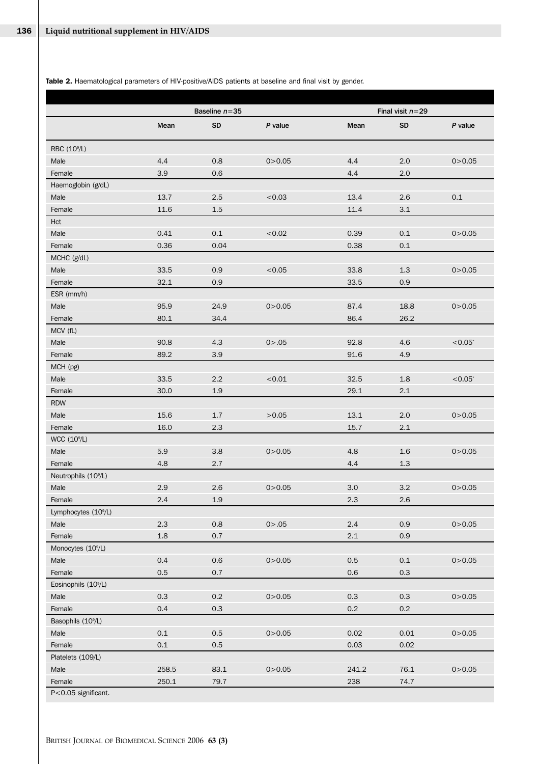Table 2. Haematological parameters of HIV-positive/AIDS patients at baseline and final visit by gender.

|                                  | Baseline $n = 35$ |           |          |         |                                 |            |
|----------------------------------|-------------------|-----------|----------|---------|---------------------------------|------------|
|                                  | Mean              | <b>SD</b> | P value  | Mean    | Final visit $n=29$<br><b>SD</b> | P value    |
| RBC (10 <sup>9</sup> /L)         |                   |           |          |         |                                 |            |
| Male                             | 4.4               | 0.8       | 0 > 0.05 | 4.4     | 2.0                             | 0 > 0.05   |
| Female                           | 3.9               | 0.6       |          | 4.4     | 2.0                             |            |
| Haemoglobin (g/dL)               |                   |           |          |         |                                 |            |
| Male                             | 13.7              | 2.5       | < 0.03   | 13.4    | 2.6                             | 0.1        |
| Female                           | 11.6              | 1.5       |          | 11.4    | $3.1\,$                         |            |
| Hct                              |                   |           |          |         |                                 |            |
| Male                             | 0.41              | 0.1       | < 0.02   | 0.39    | 0.1                             | 0 > 0.05   |
| Female                           | 0.36              | 0.04      |          | 0.38    | 0.1                             |            |
| MCHC (g/dL)                      |                   |           |          |         |                                 |            |
| Male                             | 33.5              | 0.9       | < 0.05   | 33.8    | $1.3\,$                         | 0 > 0.05   |
| Female                           | 32.1              | 0.9       |          | 33.5    | 0.9                             |            |
| ESR (mm/h)                       |                   |           |          |         |                                 |            |
| Male                             | 95.9              | 24.9      | 0 > 0.05 | 87.4    | 18.8                            | 0 > 0.05   |
| Female                           | 80.1              | 34.4      |          | 86.4    | 26.2                            |            |
| MCV (fL)                         |                   |           |          |         |                                 |            |
| Male                             | 90.8              | 4.3       | 0 > .05  | 92.8    | 4.6                             | $< 0.05*$  |
| Female                           | 89.2              | 3.9       |          | 91.6    | 4.9                             |            |
| MCH (pg)                         |                   |           |          |         |                                 |            |
| Male                             | 33.5              | 2.2       | < 0.01   | 32.5    | 1.8                             | $< 0.05^*$ |
| Female                           | 30.0              | 1.9       |          | 29.1    | 2.1                             |            |
| <b>RDW</b>                       |                   |           |          |         |                                 |            |
| Male                             | 15.6              | 1.7       | >0.05    | 13.1    | 2.0                             | 0 > 0.05   |
| Female                           | 16.0              | 2.3       |          | 15.7    | 2.1                             |            |
| WCC $(10^9/L)$                   |                   |           |          |         |                                 |            |
| Male                             | 5.9               | 3.8       | 0 > 0.05 | 4.8     | 1.6                             | 0 > 0.05   |
| Female                           | 4.8               | 2.7       |          | 4.4     | 1.3                             |            |
| Neutrophils (10%L)               |                   |           |          |         |                                 |            |
| Male                             | 2.9               | 2.6       | 0 > 0.05 | 3.0     | 3.2                             | 0 > 0.05   |
| Female                           | 2.4               | $1.9\,$   |          | 2.3     | 2.6                             |            |
| Lymphocytes (10 <sup>9</sup> /L) |                   |           |          |         |                                 |            |
| Male                             | 2.3               | $0.8\,$   | 0 > .05  | 2.4     | 0.9                             | 0 > 0.05   |
| Female                           | $1.8\,$           | 0.7       |          | $2.1\,$ | 0.9                             |            |
| Monocytes (10 <sup>9</sup> /L)   |                   |           |          |         |                                 |            |
| Male                             | 0.4               | $0.6\,$   | 0 > 0.05 | $0.5\,$ | $0.1\,$                         | 0 > 0.05   |
| Female                           | 0.5               | 0.7       |          | 0.6     | 0.3                             |            |
| Eosinophils (10 <sup>9</sup> /L) |                   |           |          |         |                                 |            |
| Male                             | 0.3               | $0.2\,$   | 0 > 0.05 | 0.3     | 0.3                             | 0 > 0.05   |
| Female                           | 0.4               | 0.3       |          | $0.2\,$ | $0.2\,$                         |            |
| Basophils (10 <sup>9</sup> /L)   |                   |           |          |         |                                 |            |
| Male                             | $0.1\,$           | 0.5       | 0 > 0.05 | 0.02    | 0.01                            | 0 > 0.05   |
| Female                           | 0.1               | $0.5\,$   |          | 0.03    | 0.02                            |            |
| Platelets (109/L)                |                   |           |          |         |                                 |            |
| Male                             | 258.5             | 83.1      | 0 > 0.05 | 241.2   | 76.1                            | 0 > 0.05   |
| Female                           | 250.1             | 79.7      |          | 238     | 74.7                            |            |
| P<0.05 significant.              |                   |           |          |         |                                 |            |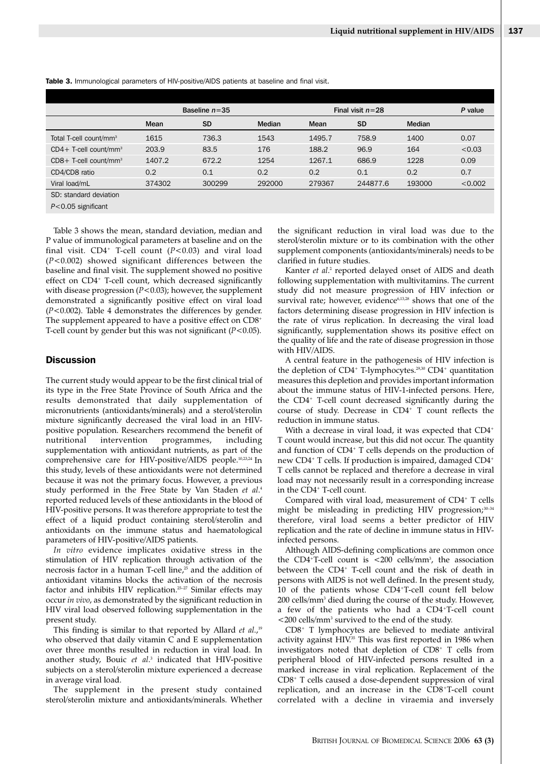|                                      | Baseline $n = 35$ |           |               | Final visit $n=28$ |           |               | P value |
|--------------------------------------|-------------------|-----------|---------------|--------------------|-----------|---------------|---------|
|                                      | Mean              | <b>SD</b> | <b>Median</b> | Mean               | <b>SD</b> | <b>Median</b> |         |
| Total T-cell count/mm <sup>3</sup>   | 1615              | 736.3     | 1543          | 1495.7             | 758.9     | 1400          | 0.07    |
| $CD4+$ T-cell count/mm <sup>3</sup>  | 203.9             | 83.5      | 176           | 188.2              | 96.9      | 164           | < 0.03  |
| $CDS + T-cell$ count/mm <sup>3</sup> | 1407.2            | 672.2     | 1254          | 1267.1             | 686.9     | 1228          | 0.09    |
| CD4/CD8 ratio                        | 0.2               | 0.1       | 0.2           | 0.2                | 0.1       | 0.2           | 0.7     |
| Viral load/mL                        | 374302            | 300299    | 292000        | 279367             | 244877.6  | 193000        | < 0.002 |
| SD: standard deviation               |                   |           |               |                    |           |               |         |

**Table 3.** Immunological parameters of HIV-positive/AIDS patients at baseline and final visit.

*P*<0.05 significant

Table 3 shows the mean, standard deviation, median and P value of immunological parameters at baseline and on the final visit.  $CD4^+$  T-cell count ( $P < 0.03$ ) and viral load (*P*<0.002) showed significant differences between the baseline and final visit. The supplement showed no positive effect on CD4<sup>+</sup> T-cell count, which decreased significantly with disease progression (*P*<0.03); however, the supplement demonstrated a significantly positive effect on viral load (*P*<0.002). Table 4 demonstrates the differences by gender. The supplement appeared to have a positive effect on CD8<sup>+</sup> T-cell count by gender but this was not significant (*P*<0.05).

# **Discussion**

The current study would appear to be the first clinical trial of its type in the Free State Province of South Africa and the results demonstrated that daily supplementation of micronutrients (antioxidants/minerals) and a sterol/sterolin mixture significantly decreased the viral load in an HIVpositive population. Researchers recommend the benefit of nutritional intervention programmes, including supplementation with antioxidant nutrients, as part of the comprehensive care for HIV-positive/AIDS people.<sup>10,23,24</sup> In this study, levels of these antioxidants were not determined because it was not the primary focus. However, a previous study performed in the Free State by Van Staden *et al*. 4 reported reduced levels of these antioxidants in the blood of HIV-positive persons. It was therefore appropriate to test the effect of a liquid product containing sterol/sterolin and antioxidants on the immune status and haematological parameters of HIV-positive/AIDS patients.

*In vitro* evidence implicates oxidative stress in the stimulation of HIV replication through activation of the necrosis factor in a human T-cell line, $25$  and the addition of antioxidant vitamins blocks the activation of the necrosis factor and inhibits HIV replication.25–27 Similar effects may occur *in vivo*, as demonstrated by the significant reduction in HIV viral load observed following supplementation in the present study.

This finding is similar to that reported by Allard *et al.*,<sup>19</sup> who observed that daily vitamin C and E supplementation over three months resulted in reduction in viral load. In another study, Bouic *et al*. <sup>3</sup> indicated that HIV-positive subjects on a sterol/sterolin mixture experienced a decrease in average viral load.

The supplement in the present study contained sterol/sterolin mixture and antioxidants/minerals. Whether the significant reduction in viral load was due to the sterol/sterolin mixture or to its combination with the other supplement components (antioxidants/minerals) needs to be clarified in future studies.

Kanter *et al*. <sup>2</sup> reported delayed onset of AIDS and death following supplementation with multivitamins. The current study did not measure progression of HIV infection or survival rate; however, evidence<sup>6,13,28</sup> shows that one of the factors determining disease progression in HIV infection is the rate of virus replication. In decreasing the viral load significantly, supplementation shows its positive effect on the quality of life and the rate of disease progression in those with HIV/AIDS.

A central feature in the pathogenesis of HIV infection is the depletion of CD4<sup>+</sup> T-lymphocytes.<sup>29,30</sup> CD4<sup>+</sup> quantitation measures this depletion and provides important information about the immune status of HIV-1-infected persons. Here, the CD4+ T-cell count decreased significantly during the course of study. Decrease in CD4+ T count reflects the reduction in immune status.

With a decrease in viral load, it was expected that CD4<sup>+</sup> T count would increase, but this did not occur. The quantity and function of CD4<sup>+</sup> T cells depends on the production of new CD4<sup>+</sup> T cells. If production is impaired, damaged CD4<sup>+</sup> T cells cannot be replaced and therefore a decrease in viral load may not necessarily result in a corresponding increase in the CD4<sup>+</sup> T-cell count.

Compared with viral load, measurement of CD4+ T cells might be misleading in predicting HIV progression;<sup>30-34</sup> therefore, viral load seems a better predictor of HIV replication and the rate of decline in immune status in HIVinfected persons.

Although AIDS-defining complications are common once the CD4<sup>+</sup>T-cell count is  $\langle 200 \text{ cells/mm}^3$ , the association between the CD4<sup>+</sup> T-cell count and the risk of death in persons with AIDS is not well defined. In the present study, 10 of the patients whose CD4+T-cell count fell below 200 cells/mm3 died during the course of the study. However, a few of the patients who had a CD4+T-cell count <200 cells/mm3 survived to the end of the study.

CD8+ T lymphocytes are believed to mediate antiviral activity against HIV.<sup>35</sup> This was first reported in 1986 when investigators noted that depletion of CD8+ T cells from peripheral blood of HIV-infected persons resulted in a marked increase in viral replication. Replacement of the CD8+ T cells caused a dose-dependent suppression of viral replication, and an increase in the CD8+T-cell count correlated with a decline in viraemia and inversely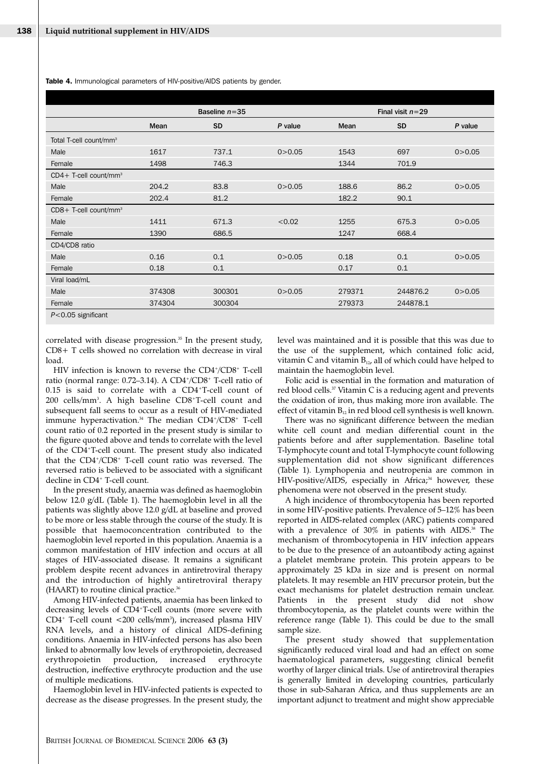**Table 4.** Immunological parameters of HIV-positive/AIDS patients by gender.

|                                     |        | Baseline $n = 35$ |          |        | Final visit $n=29$ |          |
|-------------------------------------|--------|-------------------|----------|--------|--------------------|----------|
|                                     | Mean   | <b>SD</b>         | P value  | Mean   | <b>SD</b>          | P value  |
| Total T-cell count/mm <sup>3</sup>  |        |                   |          |        |                    |          |
| Male                                | 1617   | 737.1             | 0 > 0.05 | 1543   | 697                | 0 > 0.05 |
| Female                              | 1498   | 746.3             |          | 1344   | 701.9              |          |
| $CD4+$ T-cell count/mm <sup>3</sup> |        |                   |          |        |                    |          |
| Male                                | 204.2  | 83.8              | 0 > 0.05 | 188.6  | 86.2               | 0 > 0.05 |
| Female                              | 202.4  | 81.2              |          | 182.2  | 90.1               |          |
| CD8+ T-cell count/mm <sup>3</sup>   |        |                   |          |        |                    |          |
| Male                                | 1411   | 671.3             | < 0.02   | 1255   | 675.3              | 0 > 0.05 |
| Female                              | 1390   | 686.5             |          | 1247   | 668.4              |          |
| CD4/CD8 ratio                       |        |                   |          |        |                    |          |
| Male                                | 0.16   | 0.1               | 0 > 0.05 | 0.18   | 0.1                | 0 > 0.05 |
| Female                              | 0.18   | 0.1               |          | 0.17   | 0.1                |          |
| Viral load/mL                       |        |                   |          |        |                    |          |
| Male                                | 374308 | 300301            | 0 > 0.05 | 279371 | 244876.2           | 0 > 0.05 |
| Female                              | 374304 | 300304            |          | 279373 | 244878.1           |          |
| $P<0.05$ significant                |        |                   |          |        |                    |          |

correlated with disease progression.<sup>35</sup> In the present study, CD8+ T cells showed no correlation with decrease in viral load.

HIV infection is known to reverse the CD4+/CD8+ T-cell ratio (normal range: 0.72–3.14). A CD4+/CD8+ T-cell ratio of 0.15 is said to correlate with a CD4+T-cell count of 200 cells/mm3 . A high baseline CD8+T-cell count and subsequent fall seems to occur as a result of HIV-mediated immune hyperactivation.<sup>34</sup> The median CD4<sup>+</sup>/CD8<sup>+</sup> T-cell count ratio of 0.2 reported in the present study is similar to the figure quoted above and tends to correlate with the level of the CD4+T-cell count. The present study also indicated that the CD4+/CD8+ T-cell count ratio was reversed. The reversed ratio is believed to be associated with a significant decline in CD4+ T-cell count.

In the present study, anaemia was defined as haemoglobin below 12.0 g/dL (Table 1). The haemoglobin level in all the patients was slightly above 12.0 g/dL at baseline and proved to be more or less stable through the course of the study. It is possible that haemoconcentration contributed to the haemoglobin level reported in this population. Anaemia is a common manifestation of HIV infection and occurs at all stages of HIV-associated disease. It remains a significant problem despite recent advances in antiretroviral therapy and the introduction of highly antiretroviral therapy (HAART) to routine clinical practice.<sup>36</sup>

Among HIV-infected patients, anaemia has been linked to decreasing levels of CD4+T-cell counts (more severe with CD4+ T-cell count <200 cells/mm<sup>3</sup>), increased plasma HIV RNA levels, and a history of clinical AIDS-defining conditions. Anaemia in HIV-infected persons has also been linked to abnormally low levels of erythropoietin, decreased erythropoietin production, increased erythrocyte destruction, ineffective erythrocyte production and the use of multiple medications.

Haemoglobin level in HIV-infected patients is expected to decrease as the disease progresses. In the present study, the level was maintained and it is possible that this was due to the use of the supplement, which contained folic acid, vitamin C and vitamin  $B_{12}$ , all of which could have helped to maintain the haemoglobin level.

Folic acid is essential in the formation and maturation of red blood cells.<sup>37</sup> Vitamin C is a reducing agent and prevents the oxidation of iron, thus making more iron available. The effect of vitamin  $B_{12}$  in red blood cell synthesis is well known.

There was no significant difference between the median white cell count and median differential count in the patients before and after supplementation. Baseline total T-lymphocyte count and total T-lymphocyte count following supplementation did not show significant differences (Table 1). Lymphopenia and neutropenia are common in HIV-positive/AIDS, especially in Africa;<sup>34</sup> however, these phenomena were not observed in the present study.

A high incidence of thrombocytopenia has been reported in some HIV-positive patients. Prevalence of 5–12% has been reported in AIDS-related complex (ARC) patients compared with a prevalence of 30% in patients with AIDS.<sup>38</sup> The mechanism of thrombocytopenia in HIV infection appears to be due to the presence of an autoantibody acting against a platelet membrane protein. This protein appears to be approximately 25 kDa in size and is present on normal platelets. It may resemble an HIV precursor protein, but the exact mechanisms for platelet destruction remain unclear. Patients in the present study did not show thrombocytopenia, as the platelet counts were within the reference range (Table 1). This could be due to the small sample size.

The present study showed that supplementation significantly reduced viral load and had an effect on some haematological parameters, suggesting clinical benefit worthy of larger clinical trials. Use of antiretroviral therapies is generally limited in developing countries, particularly those in sub-Saharan Africa, and thus supplements are an important adjunct to treatment and might show appreciable